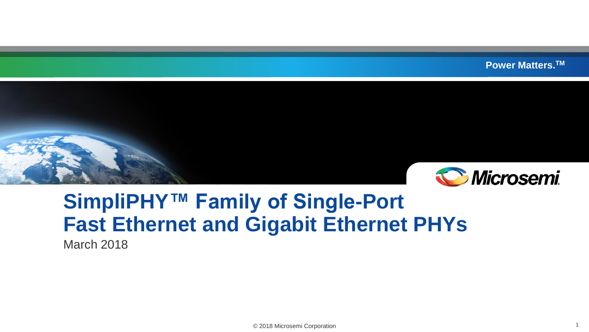**Power Matters.TM**



# **SimpliPHY™ Family of Single-Port Fast Ethernet and Gigabit Ethernet PHYs**

March 2018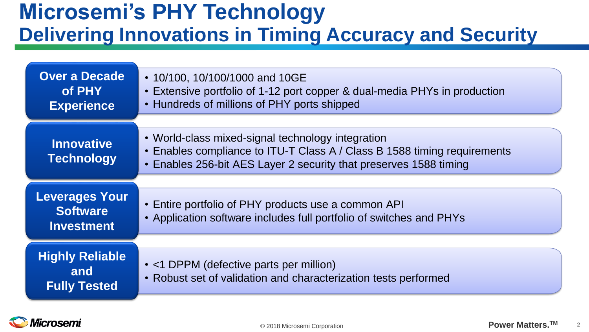# **Microsemi's PHY Technology Delivering Innovations in Timing Accuracy and Security**

| <b>Over a Decade</b><br>of PHY<br><b>Experience</b>           | • 10/100, 10/100/1000 and 10GE<br>• Extensive portfolio of 1-12 port copper & dual-media PHYs in production<br>• Hundreds of millions of PHY ports shipped                                         |
|---------------------------------------------------------------|----------------------------------------------------------------------------------------------------------------------------------------------------------------------------------------------------|
| <b>Innovative</b><br><b>Technology</b>                        | • World-class mixed-signal technology integration<br>• Enables compliance to ITU-T Class A / Class B 1588 timing requirements<br>• Enables 256-bit AES Layer 2 security that preserves 1588 timing |
| <b>Leverages Your</b><br><b>Software</b><br><b>Investment</b> | • Entire portfolio of PHY products use a common API<br>• Application software includes full portfolio of switches and PHYs                                                                         |
| <b>Highly Reliable</b><br>and<br><b>Fully Tested</b>          | • <1 DPPM (defective parts per million)<br>• Robust set of validation and characterization tests performed                                                                                         |

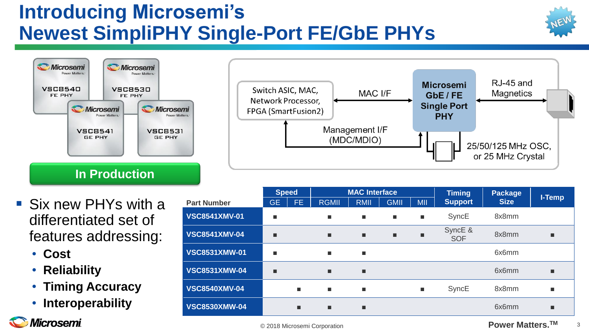# **Introducing Microsemi's Newest SimpliPHY Single-Port FE/GbE PHYs**



- Six new PHYs with a differentiated set of features addressing:
	- **Cost**
	- **Reliability**
	- **Timing Accuracy**
	- **Interoperability**

**Microsemi** 

|                      | <b>Speed</b> |     | <b>MAC Interface</b> |             |                |                | <b>Timing</b>         | <b>Package</b> |                |
|----------------------|--------------|-----|----------------------|-------------|----------------|----------------|-----------------------|----------------|----------------|
| <b>Part Number</b>   | <b>GE</b>    | FE. | <b>RGMII</b>         | <b>RMII</b> | <b>GMII</b>    | <b>MII</b>     | <b>Support</b>        | <b>Size</b>    | I-Temp         |
| <b>VSC8541XMV-01</b> |              |     | п                    | ٠           | <b>I</b>       | $\blacksquare$ | SyncE                 | 8x8mm          |                |
| <b>VSC8541XMV-04</b> |              |     | п                    | ▪           | $\blacksquare$ | п              | SyncE &<br><b>SOF</b> | 8x8mm          | $\blacksquare$ |
| <b>VSC8531XMW-01</b> | ш            |     | п                    | ٠           |                |                |                       | 6x6mm          |                |
| <b>VSC8531XMW-04</b> |              |     | п                    | ■           |                |                |                       | 6x6mm          | п              |
| <b>VSC8540XMV-04</b> |              | п   | п                    | ٠           |                | $\blacksquare$ | SyncE                 | 8x8mm          | $\blacksquare$ |
| <b>VSC8530XMW-04</b> |              | ■   | п                    | ■           |                |                |                       | 6x6mm          | $\blacksquare$ |
|                      |              |     |                      |             |                |                |                       |                |                |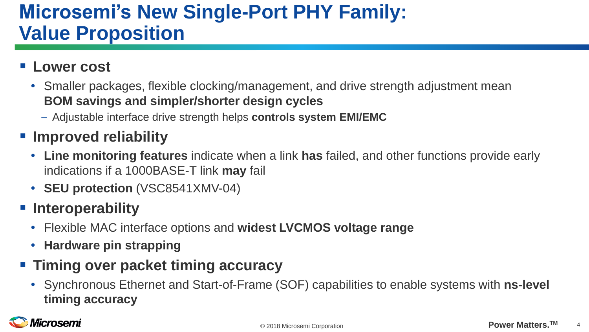## **Microsemi's New Single-Port PHY Family: Value Proposition**

#### **Lower cost**

- Smaller packages, flexible clocking/management, and drive strength adjustment mean **BOM savings and simpler/shorter design cycles**
	- Adjustable interface drive strength helps **controls system EMI/EMC**

#### ▪ **Improved reliability**

- **Line monitoring features** indicate when a link **has** failed, and other functions provide early indications if a 1000BASE-T link **may** fail
- **SEU protection** (VSC8541XMV-04)

#### ▪ **Interoperability**

- Flexible MAC interface options and **widest LVCMOS voltage range**
- **Hardware pin strapping**

#### ▪ **Timing over packet timing accuracy**

• Synchronous Ethernet and Start-of-Frame (SOF) capabilities to enable systems with **ns-level timing accuracy** 

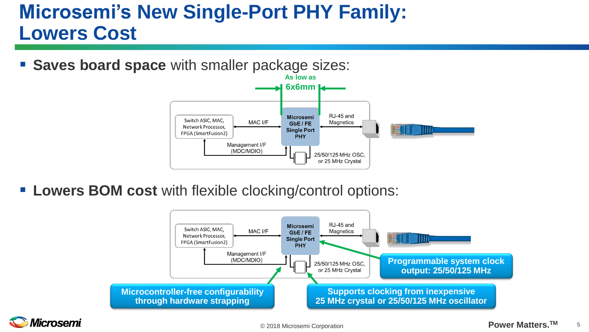# **Microsemi's New Single-Port PHY Family: Lowers Cost**

**Saves board space** with smaller package sizes:



**Lowers BOM cost** with flexible clocking/control options:



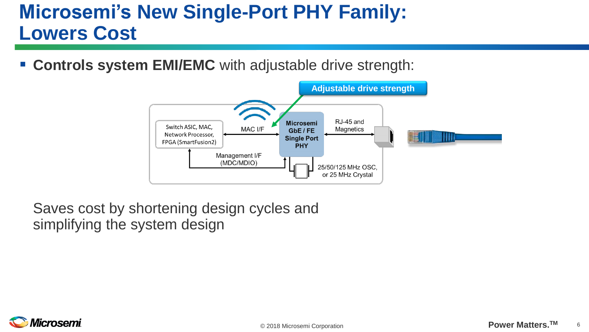# **Microsemi's New Single-Port PHY Family: Lowers Cost**

**EXCONTIOLS SYSTEM EMI/EMC** with adjustable drive strength:



Saves cost by shortening design cycles and simplifying the system design

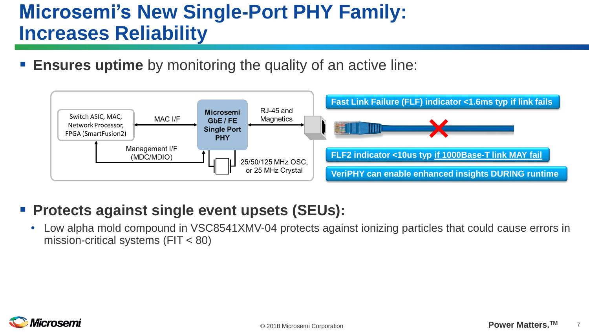# **Microsemi's New Single-Port PHY Family: Increases Reliability**

**Ensures uptime** by monitoring the quality of an active line:



#### ■ Protects against single event upsets (SEUs):

• Low alpha mold compound in VSC8541XMV-04 protects against ionizing particles that could cause errors in mission-critical systems (FIT < 80)

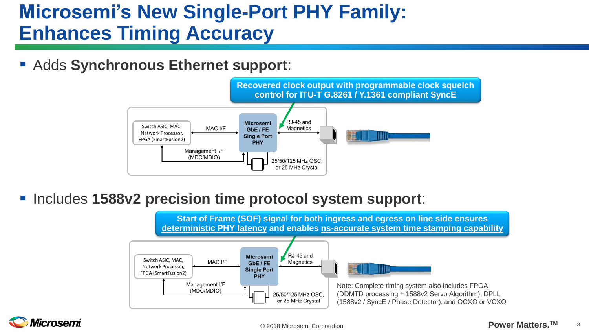## **Microsemi's New Single-Port PHY Family: Enhances Timing Accuracy**

▪ Adds **Synchronous Ethernet support**:



▪ Includes **1588v2 precision time protocol system support**:



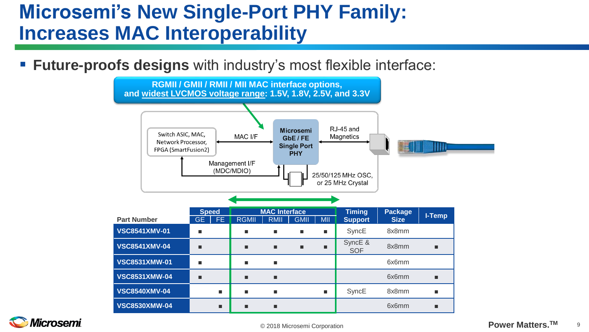## **Microsemi's New Single-Port PHY Family: Increases MAC Interoperability**

**Future-proofs designs** with industry's most flexible interface:



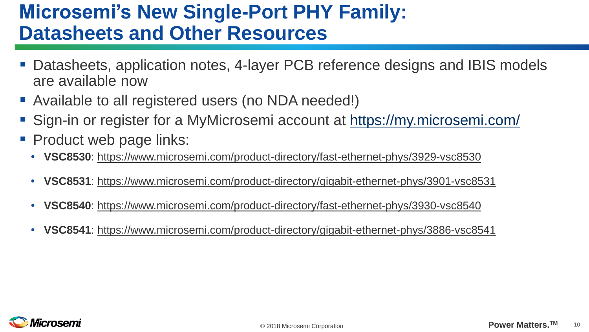## **Microsemi's New Single-Port PHY Family: Datasheets and Other Resources**

- Datasheets, application notes, 4-layer PCB reference designs and IBIS models are available now
- Available to all registered users (no NDA needed!)
- Sign-in or register for a MyMicrosemi account at<https://my.microsemi.com/>
- Product web page links:
	- **VSC8530**: https://www.microsemi.com/product-directory/fast-ethernet-phys/3929-vsc8530
	- **VSC8531**: https://www.microsemi.com/product-directory/gigabit-ethernet-phys/3901-vsc8531
	- **VSC8540**: https://www.microsemi.com/product-directory/fast-ethernet-phys/3930-vsc8540
	- **VSC8541**: https://www.microsemi.com/product-directory/gigabit-ethernet-phys/3886-vsc8541

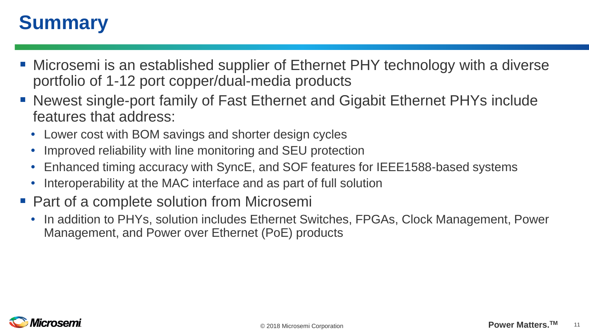## **Summary**

- Microsemi is an established supplier of Ethernet PHY technology with a diverse portfolio of 1-12 port copper/dual-media products
- Newest single-port family of Fast Ethernet and Gigabit Ethernet PHYs include features that address:
	- Lower cost with BOM savings and shorter design cycles
	- Improved reliability with line monitoring and SEU protection
	- Enhanced timing accuracy with SyncE, and SOF features for IEEE1588-based systems
	- Interoperability at the MAC interface and as part of full solution
- Part of a complete solution from Microsemi
	- In addition to PHYs, solution includes Ethernet Switches, FPGAs, Clock Management, Power Management, and Power over Ethernet (PoE) products